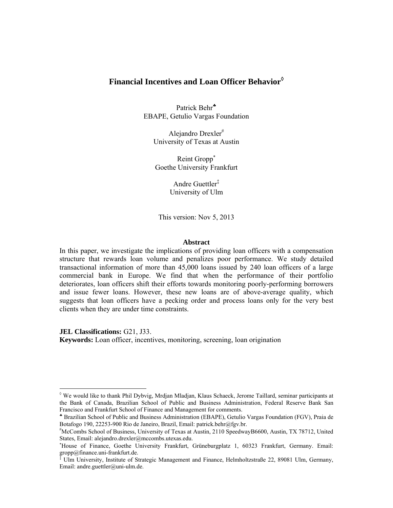# **Financial Incentives and Loan Officer Behavior**

Patrick Behr EBAPE, Getulio Vargas Foundation

Alejandro Drexler University of Texas at Austin

Reint Gropp<sup>\*</sup> Goethe University Frankfurt

> Andre Guettler‡ University of Ulm

This version: Nov 5, 2013

#### **Abstract**

In this paper, we investigate the implications of providing loan officers with a compensation structure that rewards loan volume and penalizes poor performance. We study detailed transactional information of more than 45,000 loans issued by 240 loan officers of a large commercial bank in Europe. We find that when the performance of their portfolio deteriorates, loan officers shift their efforts towards monitoring poorly-performing borrowers and issue fewer loans. However, these new loans are of above-average quality, which suggests that loan officers have a pecking order and process loans only for the very best clients when they are under time constraints.

**JEL Classifications:** G21, J33.

**Keywords:** Loan officer, incentives, monitoring, screening, loan origination

 We would like to thank Phil Dybvig, Mrdjan Mladjan, Klaus Schaeck, Jerome Taillard, seminar participants at the Bank of Canada, Brazilian School of Public and Business Administration, Federal Reserve Bank San Francisco and Frankfurt School of Finance and Management for comments.

Brazilian School of Public and Business Administration (EBAPE), Getulio Vargas Foundation (FGV), Praia de Botafogo 190, 22253-900 Rio de Janeiro, Brazil, Email: patrick.behr@fgv.br.

McCombs School of Business, University of Texas at Austin, 2110 SpeedwayB6600, Austin, TX 78712, United States, Email: alejandro.drexler@mccombs.utexas.edu.

House of Finance, Goethe University Frankfurt, Grüneburgplatz 1, 60323 Frankfurt, Germany. Email: gropp@finance.uni-frankfurt.de.

<sup>‡</sup> Ulm University, Institute of Strategic Management and Finance, Helmholtzstraße 22, 89081 Ulm, Germany, Email: andre.guettler@uni-ulm.de.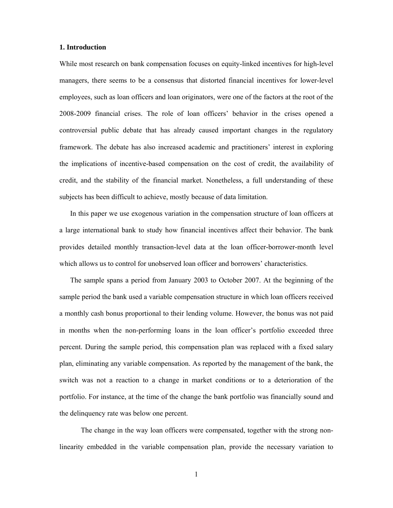## **1. Introduction**

While most research on bank compensation focuses on equity-linked incentives for high-level managers, there seems to be a consensus that distorted financial incentives for lower-level employees, such as loan officers and loan originators, were one of the factors at the root of the 2008-2009 financial crises. The role of loan officers' behavior in the crises opened a controversial public debate that has already caused important changes in the regulatory framework. The debate has also increased academic and practitioners' interest in exploring the implications of incentive-based compensation on the cost of credit, the availability of credit, and the stability of the financial market. Nonetheless, a full understanding of these subjects has been difficult to achieve, mostly because of data limitation.

 In this paper we use exogenous variation in the compensation structure of loan officers at a large international bank to study how financial incentives affect their behavior. The bank provides detailed monthly transaction-level data at the loan officer-borrower-month level which allows us to control for unobserved loan officer and borrowers' characteristics.

 The sample spans a period from January 2003 to October 2007. At the beginning of the sample period the bank used a variable compensation structure in which loan officers received a monthly cash bonus proportional to their lending volume. However, the bonus was not paid in months when the non-performing loans in the loan officer's portfolio exceeded three percent. During the sample period, this compensation plan was replaced with a fixed salary plan, eliminating any variable compensation. As reported by the management of the bank, the switch was not a reaction to a change in market conditions or to a deterioration of the portfolio. For instance, at the time of the change the bank portfolio was financially sound and the delinquency rate was below one percent.

 The change in the way loan officers were compensated, together with the strong nonlinearity embedded in the variable compensation plan, provide the necessary variation to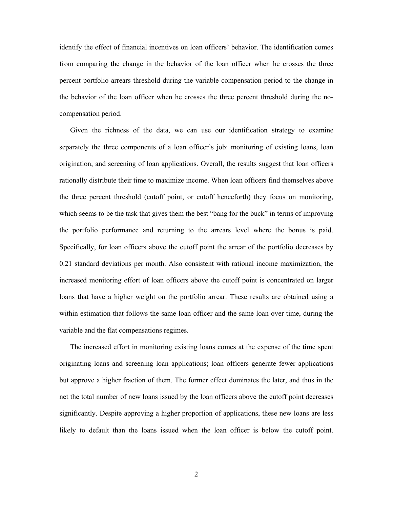identify the effect of financial incentives on loan officers' behavior. The identification comes from comparing the change in the behavior of the loan officer when he crosses the three percent portfolio arrears threshold during the variable compensation period to the change in the behavior of the loan officer when he crosses the three percent threshold during the nocompensation period.

 Given the richness of the data, we can use our identification strategy to examine separately the three components of a loan officer's job: monitoring of existing loans, loan origination, and screening of loan applications. Overall, the results suggest that loan officers rationally distribute their time to maximize income. When loan officers find themselves above the three percent threshold (cutoff point, or cutoff henceforth) they focus on monitoring, which seems to be the task that gives them the best "bang for the buck" in terms of improving the portfolio performance and returning to the arrears level where the bonus is paid. Specifically, for loan officers above the cutoff point the arrear of the portfolio decreases by 0.21 standard deviations per month. Also consistent with rational income maximization, the increased monitoring effort of loan officers above the cutoff point is concentrated on larger loans that have a higher weight on the portfolio arrear. These results are obtained using a within estimation that follows the same loan officer and the same loan over time, during the variable and the flat compensations regimes.

 The increased effort in monitoring existing loans comes at the expense of the time spent originating loans and screening loan applications; loan officers generate fewer applications but approve a higher fraction of them. The former effect dominates the later, and thus in the net the total number of new loans issued by the loan officers above the cutoff point decreases significantly. Despite approving a higher proportion of applications, these new loans are less likely to default than the loans issued when the loan officer is below the cutoff point.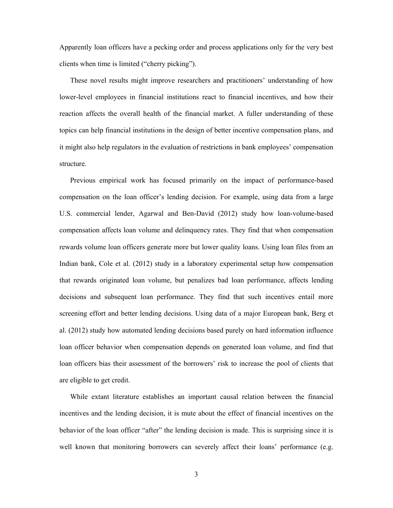Apparently loan officers have a pecking order and process applications only for the very best clients when time is limited ("cherry picking").

 These novel results might improve researchers and practitioners' understanding of how lower-level employees in financial institutions react to financial incentives, and how their reaction affects the overall health of the financial market. A fuller understanding of these topics can help financial institutions in the design of better incentive compensation plans, and it might also help regulators in the evaluation of restrictions in bank employees' compensation structure.

 Previous empirical work has focused primarily on the impact of performance-based compensation on the loan officer's lending decision. For example, using data from a large U.S. commercial lender, Agarwal and Ben-David (2012) study how loan-volume-based compensation affects loan volume and delinquency rates. They find that when compensation rewards volume loan officers generate more but lower quality loans. Using loan files from an Indian bank, Cole et al. (2012) study in a laboratory experimental setup how compensation that rewards originated loan volume, but penalizes bad loan performance, affects lending decisions and subsequent loan performance. They find that such incentives entail more screening effort and better lending decisions. Using data of a major European bank, Berg et al. (2012) study how automated lending decisions based purely on hard information influence loan officer behavior when compensation depends on generated loan volume, and find that loan officers bias their assessment of the borrowers' risk to increase the pool of clients that are eligible to get credit.

 While extant literature establishes an important causal relation between the financial incentives and the lending decision, it is mute about the effect of financial incentives on the behavior of the loan officer "after" the lending decision is made. This is surprising since it is well known that monitoring borrowers can severely affect their loans' performance (e.g.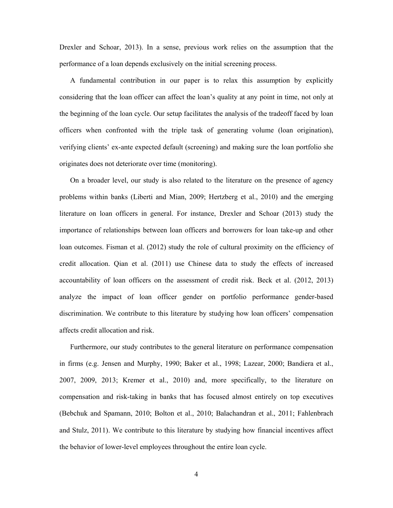Drexler and Schoar, 2013). In a sense, previous work relies on the assumption that the performance of a loan depends exclusively on the initial screening process.

 A fundamental contribution in our paper is to relax this assumption by explicitly considering that the loan officer can affect the loan's quality at any point in time, not only at the beginning of the loan cycle. Our setup facilitates the analysis of the tradeoff faced by loan officers when confronted with the triple task of generating volume (loan origination), verifying clients' ex-ante expected default (screening) and making sure the loan portfolio she originates does not deteriorate over time (monitoring).

 On a broader level, our study is also related to the literature on the presence of agency problems within banks (Liberti and Mian, 2009; Hertzberg et al., 2010) and the emerging literature on loan officers in general. For instance, Drexler and Schoar (2013) study the importance of relationships between loan officers and borrowers for loan take-up and other loan outcomes. Fisman et al. (2012) study the role of cultural proximity on the efficiency of credit allocation. Qian et al. (2011) use Chinese data to study the effects of increased accountability of loan officers on the assessment of credit risk. Beck et al. (2012, 2013) analyze the impact of loan officer gender on portfolio performance gender-based discrimination. We contribute to this literature by studying how loan officers' compensation affects credit allocation and risk.

 Furthermore, our study contributes to the general literature on performance compensation in firms (e.g. Jensen and Murphy, 1990; Baker et al., 1998; Lazear, 2000; Bandiera et al., 2007, 2009, 2013; Kremer et al., 2010) and, more specifically, to the literature on compensation and risk-taking in banks that has focused almost entirely on top executives (Bebchuk and Spamann, 2010; Bolton et al., 2010; Balachandran et al., 2011; Fahlenbrach and Stulz, 2011). We contribute to this literature by studying how financial incentives affect the behavior of lower-level employees throughout the entire loan cycle.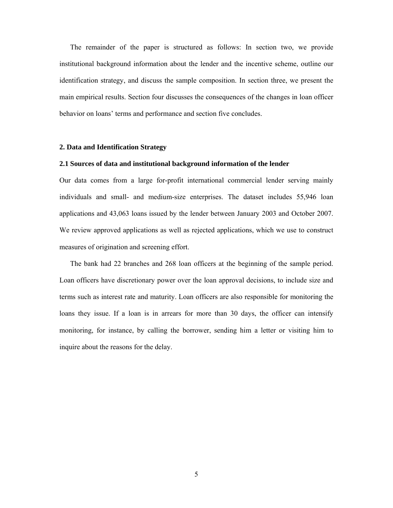The remainder of the paper is structured as follows: In section two, we provide institutional background information about the lender and the incentive scheme, outline our identification strategy, and discuss the sample composition. In section three, we present the main empirical results. Section four discusses the consequences of the changes in loan officer behavior on loans' terms and performance and section five concludes.

#### **2. Data and Identification Strategy**

## **2.1 Sources of data and institutional background information of the lender**

Our data comes from a large for-profit international commercial lender serving mainly individuals and small- and medium-size enterprises. The dataset includes 55,946 loan applications and 43,063 loans issued by the lender between January 2003 and October 2007. We review approved applications as well as rejected applications, which we use to construct measures of origination and screening effort.

 The bank had 22 branches and 268 loan officers at the beginning of the sample period. Loan officers have discretionary power over the loan approval decisions, to include size and terms such as interest rate and maturity. Loan officers are also responsible for monitoring the loans they issue. If a loan is in arrears for more than 30 days, the officer can intensify monitoring, for instance, by calling the borrower, sending him a letter or visiting him to inquire about the reasons for the delay.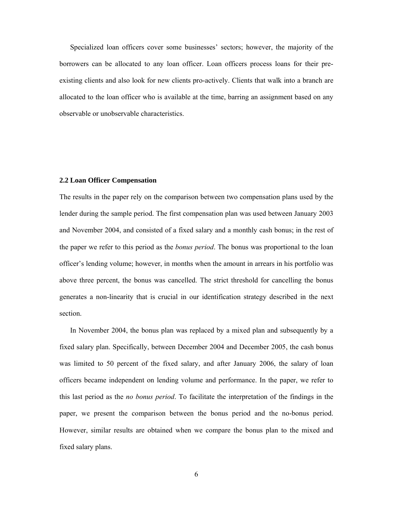Specialized loan officers cover some businesses' sectors; however, the majority of the borrowers can be allocated to any loan officer. Loan officers process loans for their preexisting clients and also look for new clients pro-actively. Clients that walk into a branch are allocated to the loan officer who is available at the time, barring an assignment based on any observable or unobservable characteristics.

## **2.2 Loan Officer Compensation**

The results in the paper rely on the comparison between two compensation plans used by the lender during the sample period. The first compensation plan was used between January 2003 and November 2004, and consisted of a fixed salary and a monthly cash bonus; in the rest of the paper we refer to this period as the *bonus period*. The bonus was proportional to the loan officer's lending volume; however, in months when the amount in arrears in his portfolio was above three percent, the bonus was cancelled. The strict threshold for cancelling the bonus generates a non-linearity that is crucial in our identification strategy described in the next section.

 In November 2004, the bonus plan was replaced by a mixed plan and subsequently by a fixed salary plan. Specifically, between December 2004 and December 2005, the cash bonus was limited to 50 percent of the fixed salary, and after January 2006, the salary of loan officers became independent on lending volume and performance. In the paper, we refer to this last period as the *no bonus period*. To facilitate the interpretation of the findings in the paper, we present the comparison between the bonus period and the no-bonus period. However, similar results are obtained when we compare the bonus plan to the mixed and fixed salary plans.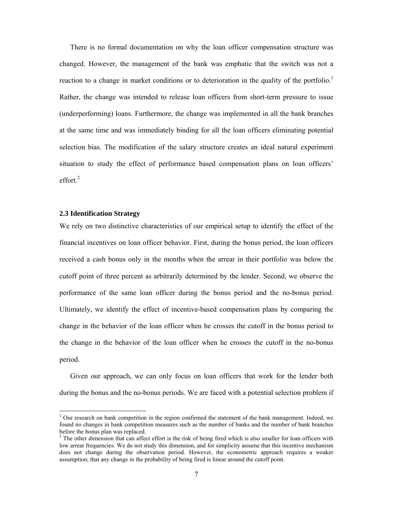There is no formal documentation on why the loan officer compensation structure was changed. However, the management of the bank was emphatic that the switch was not a reaction to a change in market conditions or to deterioration in the quality of the portfolio.<sup>1</sup> Rather, the change was intended to release loan officers from short-term pressure to issue (underperforming) loans. Furthermore, the change was implemented in all the bank branches at the same time and was immediately binding for all the loan officers eliminating potential selection bias. The modification of the salary structure creates an ideal natural experiment situation to study the effect of performance based compensation plans on loan officers' effort. $^{2}$ 

#### **2.3 Identification Strategy**

We rely on two distinctive characteristics of our empirical setup to identify the effect of the financial incentives on loan officer behavior. First, during the bonus period, the loan officers received a cash bonus only in the months when the arrear in their portfolio was below the cutoff point of three percent as arbitrarily determined by the lender. Second, we observe the performance of the same loan officer during the bonus period and the no-bonus period. Ultimately, we identify the effect of incentive-based compensation plans by comparing the change in the behavior of the loan officer when he crosses the cutoff in the bonus period to the change in the behavior of the loan officer when he crosses the cutoff in the no-bonus period.

 Given our approach, we can only focus on loan officers that work for the lender both during the bonus and the no-bonus periods. We are faced with a potential selection problem if

<sup>&</sup>lt;sup>1</sup> Our research on bank competition in the region confirmed the statement of the bank management. Indeed, we found no changes in bank competition measures such as the number of banks and the number of bank branches before the bonus plan was replaced.

 $2^2$  The other dimension that can affect effort is the risk of being fired which is also smaller for loan officers with low arrear frequencies. We do not study this dimension, and for simplicity assume that this incentive mechanism does not change during the observation period. However, the econometric approach requires a weaker assumption; that any change in the probability of being fired is linear around the cutoff point.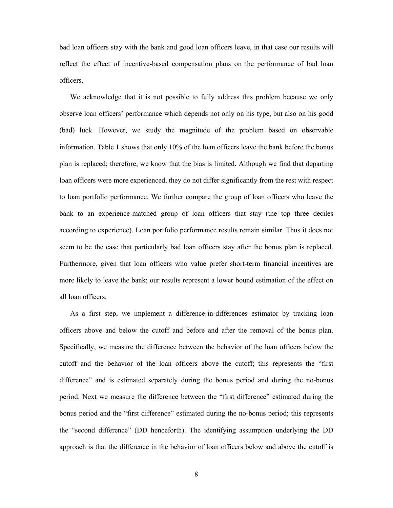bad loan officers stay with the bank and good loan officers leave, in that case our results will reflect the effect of incentive-based compensation plans on the performance of bad loan officers.

 We acknowledge that it is not possible to fully address this problem because we only observe loan officers' performance which depends not only on his type, but also on his good (bad) luck. However, we study the magnitude of the problem based on observable information. Table 1 shows that only 10% of the loan officers leave the bank before the bonus plan is replaced; therefore, we know that the bias is limited. Although we find that departing loan officers were more experienced, they do not differ significantly from the rest with respect to loan portfolio performance. We further compare the group of loan officers who leave the bank to an experience-matched group of loan officers that stay (the top three deciles according to experience). Loan portfolio performance results remain similar. Thus it does not seem to be the case that particularly bad loan officers stay after the bonus plan is replaced. Furthermore, given that loan officers who value prefer short-term financial incentives are more likely to leave the bank; our results represent a lower bound estimation of the effect on all loan officers.

 As a first step, we implement a difference-in-differences estimator by tracking loan officers above and below the cutoff and before and after the removal of the bonus plan. Specifically, we measure the difference between the behavior of the loan officers below the cutoff and the behavior of the loan officers above the cutoff; this represents the "first difference" and is estimated separately during the bonus period and during the no-bonus period. Next we measure the difference between the "first difference" estimated during the bonus period and the "first difference" estimated during the no-bonus period; this represents the "second difference" (DD henceforth). The identifying assumption underlying the DD approach is that the difference in the behavior of loan officers below and above the cutoff is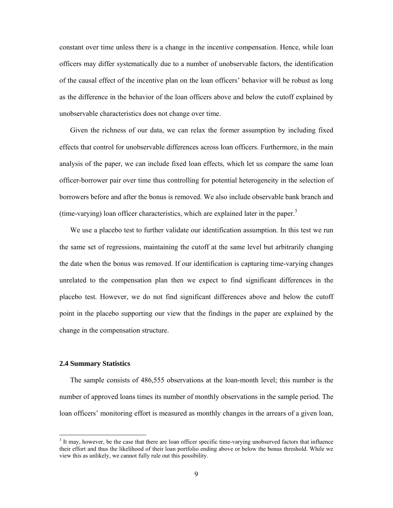constant over time unless there is a change in the incentive compensation. Hence, while loan officers may differ systematically due to a number of unobservable factors, the identification of the causal effect of the incentive plan on the loan officers' behavior will be robust as long as the difference in the behavior of the loan officers above and below the cutoff explained by unobservable characteristics does not change over time.

 Given the richness of our data, we can relax the former assumption by including fixed effects that control for unobservable differences across loan officers. Furthermore, in the main analysis of the paper, we can include fixed loan effects, which let us compare the same loan officer-borrower pair over time thus controlling for potential heterogeneity in the selection of borrowers before and after the bonus is removed. We also include observable bank branch and (time-varying) loan officer characteristics, which are explained later in the paper. $3$ 

 We use a placebo test to further validate our identification assumption. In this test we run the same set of regressions, maintaining the cutoff at the same level but arbitrarily changing the date when the bonus was removed. If our identification is capturing time-varying changes unrelated to the compensation plan then we expect to find significant differences in the placebo test. However, we do not find significant differences above and below the cutoff point in the placebo supporting our view that the findings in the paper are explained by the change in the compensation structure.

## **2.4 Summary Statistics**

The sample consists of 486,555 observations at the loan-month level; this number is the number of approved loans times its number of monthly observations in the sample period. The loan officers' monitoring effort is measured as monthly changes in the arrears of a given loan,

 $3$  It may, however, be the case that there are loan officer specific time-varying unobserved factors that influence their effort and thus the likelihood of their loan portfolio ending above or below the bonus threshold. While we view this as unlikely, we cannot fully rule out this possibility.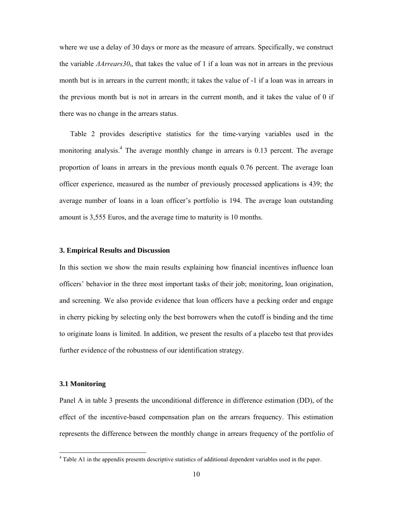where we use a delay of 30 days or more as the measure of arrears. Specifically, we construct the variable  $\Delta$ *Arrears*30<sub>t</sub>, that takes the value of 1 if a loan was not in arrears in the previous month but is in arrears in the current month; it takes the value of -1 if a loan was in arrears in the previous month but is not in arrears in the current month, and it takes the value of 0 if there was no change in the arrears status.

 Table 2 provides descriptive statistics for the time-varying variables used in the monitoring analysis.<sup>4</sup> The average monthly change in arrears is 0.13 percent. The average proportion of loans in arrears in the previous month equals 0.76 percent. The average loan officer experience, measured as the number of previously processed applications is 439; the average number of loans in a loan officer's portfolio is 194. The average loan outstanding amount is 3,555 Euros, and the average time to maturity is 10 months.

#### **3. Empirical Results and Discussion**

In this section we show the main results explaining how financial incentives influence loan officers' behavior in the three most important tasks of their job; monitoring, loan origination, and screening. We also provide evidence that loan officers have a pecking order and engage in cherry picking by selecting only the best borrowers when the cutoff is binding and the time to originate loans is limited. In addition, we present the results of a placebo test that provides further evidence of the robustness of our identification strategy.

#### **3.1 Monitoring**

Panel A in table 3 presents the unconditional difference in difference estimation (DD), of the effect of the incentive-based compensation plan on the arrears frequency. This estimation represents the difference between the monthly change in arrears frequency of the portfolio of

 4 Table A1 in the appendix presents descriptive statistics of additional dependent variables used in the paper.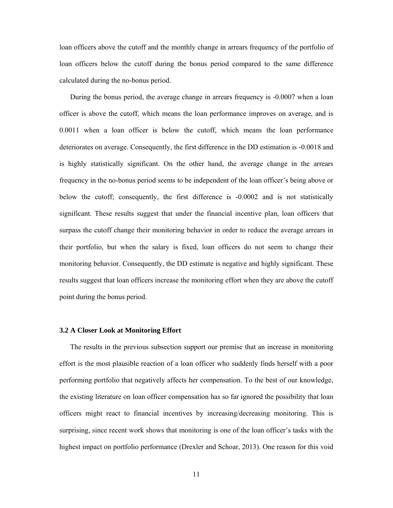loan officers above the cutoff and the monthly change in arrears frequency of the portfolio of loan officers below the cutoff during the bonus period compared to the same difference calculated during the no-bonus period.

 During the bonus period, the average change in arrears frequency is -0.0007 when a loan officer is above the cutoff, which means the loan performance improves on average, and is 0.0011 when a loan officer is below the cutoff, which means the loan performance deteriorates on average. Consequently, the first difference in the DD estimation is -0.0018 and is highly statistically significant. On the other hand, the average change in the arrears frequency in the no-bonus period seems to be independent of the loan officer's being above or below the cutoff; consequently, the first difference is -0.0002 and is not statistically significant. These results suggest that under the financial incentive plan, loan officers that surpass the cutoff change their monitoring behavior in order to reduce the average arrears in their portfolio, but when the salary is fixed, loan officers do not seem to change their monitoring behavior. Consequently, the DD estimate is negative and highly significant. These results suggest that loan officers increase the monitoring effort when they are above the cutoff point during the bonus period.

#### **3.2 A Closer Look at Monitoring Effort**

 The results in the previous subsection support our premise that an increase in monitoring effort is the most plausible reaction of a loan officer who suddenly finds herself with a poor performing portfolio that negatively affects her compensation. To the best of our knowledge, the existing literature on loan officer compensation has so far ignored the possibility that loan officers might react to financial incentives by increasing/decreasing monitoring. This is surprising, since recent work shows that monitoring is one of the loan officer's tasks with the highest impact on portfolio performance (Drexler and Schoar, 2013). One reason for this void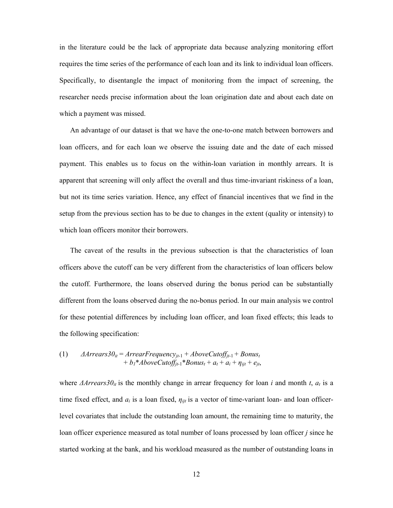in the literature could be the lack of appropriate data because analyzing monitoring effort requires the time series of the performance of each loan and its link to individual loan officers. Specifically, to disentangle the impact of monitoring from the impact of screening, the researcher needs precise information about the loan origination date and about each date on which a payment was missed.

 An advantage of our dataset is that we have the one-to-one match between borrowers and loan officers, and for each loan we observe the issuing date and the date of each missed payment. This enables us to focus on the within-loan variation in monthly arrears. It is apparent that screening will only affect the overall and thus time-invariant riskiness of a loan, but not its time series variation. Hence, any effect of financial incentives that we find in the setup from the previous section has to be due to changes in the extent (quality or intensity) to which loan officers monitor their borrowers.

 The caveat of the results in the previous subsection is that the characteristics of loan officers above the cutoff can be very different from the characteristics of loan officers below the cutoff. Furthermore, the loans observed during the bonus period can be substantially different from the loans observed during the no-bonus period. In our main analysis we control for these potential differences by including loan officer, and loan fixed effects; this leads to the following specification:

(1) 
$$
\begin{aligned} \n\Delta Arrears30_{it} &= ArrearFrequency_{jt-1} + AboveCutoff_{jt-1} + Bonus_t \\
&\quad + b_1 * AboveCutoff_{jt-1} * Bonus_t + a_t + a_i + \eta_{ijt} + e_{jt},\n\end{aligned}
$$

where  $\Delta$ *Arrears*30<sub>*it*</sub> is the monthly change in arrear frequency for loan *i* and month *t*,  $a_t$  is a time fixed effect, and  $a_i$  is a loan fixed,  $\eta_{ijt}$  is a vector of time-variant loan- and loan officerlevel covariates that include the outstanding loan amount, the remaining time to maturity, the loan officer experience measured as total number of loans processed by loan officer *j* since he started working at the bank, and his workload measured as the number of outstanding loans in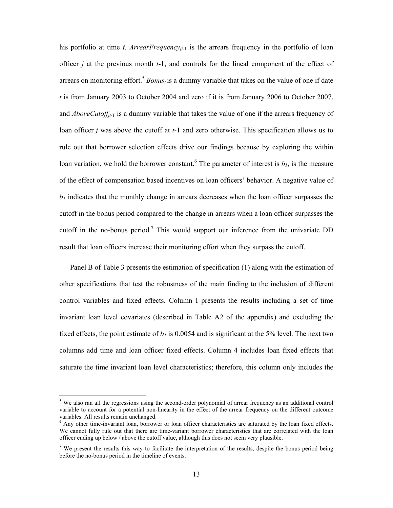his portfolio at time *t. ArrearFrequency<sub>it-1</sub>* is the arrears frequency in the portfolio of loan officer *j* at the previous month *t*-1, and controls for the lineal component of the effect of arrears on monitoring effort.<sup>5</sup> *Bonus<sub>t</sub>* is a dummy variable that takes on the value of one if date *t* is from January 2003 to October 2004 and zero if it is from January 2006 to October 2007, and *AboveCutoff<sub>jt-1</sub>* is a dummy variable that takes the value of one if the arrears frequency of loan officer *j* was above the cutoff at *t*-1 and zero otherwise. This specification allows us to rule out that borrower selection effects drive our findings because by exploring the within loan variation, we hold the borrower constant.<sup>6</sup> The parameter of interest is  $b<sub>l</sub>$ , is the measure of the effect of compensation based incentives on loan officers' behavior. A negative value of  *indicates that the monthly change in arrears decreases when the loan officer surpasses the* cutoff in the bonus period compared to the change in arrears when a loan officer surpasses the cutoff in the no-bonus period.<sup>7</sup> This would support our inference from the univariate DD result that loan officers increase their monitoring effort when they surpass the cutoff.

 Panel B of Table 3 presents the estimation of specification (1) along with the estimation of other specifications that test the robustness of the main finding to the inclusion of different control variables and fixed effects. Column I presents the results including a set of time invariant loan level covariates (described in Table A2 of the appendix) and excluding the fixed effects, the point estimate of  $b<sub>l</sub>$  is 0.0054 and is significant at the 5% level. The next two columns add time and loan officer fixed effects. Column 4 includes loan fixed effects that saturate the time invariant loan level characteristics; therefore, this column only includes the

<sup>&</sup>lt;sup>5</sup> We also ran all the regressions using the second-order polynomial of arrear frequency as an additional control variable to account for a potential non-linearity in the effect of the arrear frequency on the different outcome variables. All results remain unchanged.

<sup>&</sup>lt;sup>6</sup> Any other time-invariant loan, borrower or loan officer characteristics are saturated by the loan fixed effects. We cannot fully rule out that there are time-variant borrower characteristics that are correlated with the loan officer ending up below / above the cutoff value, although this does not seem very plausible.

<sup>&</sup>lt;sup>7</sup> We present the results this way to facilitate the interpretation of the results, despite the bonus period being before the no-bonus period in the timeline of events.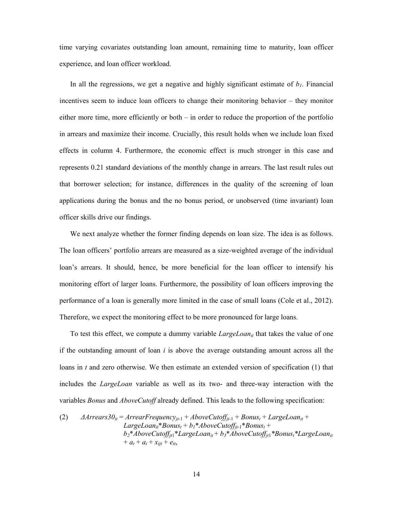time varying covariates outstanding loan amount, remaining time to maturity, loan officer experience, and loan officer workload.

In all the regressions, we get a negative and highly significant estimate of  $b<sub>1</sub>$ . Financial incentives seem to induce loan officers to change their monitoring behavior – they monitor either more time, more efficiently or both – in order to reduce the proportion of the portfolio in arrears and maximize their income. Crucially, this result holds when we include loan fixed effects in column 4. Furthermore, the economic effect is much stronger in this case and represents 0.21 standard deviations of the monthly change in arrears. The last result rules out that borrower selection; for instance, differences in the quality of the screening of loan applications during the bonus and the no bonus period, or unobserved (time invariant) loan officer skills drive our findings.

 We next analyze whether the former finding depends on loan size. The idea is as follows. The loan officers' portfolio arrears are measured as a size-weighted average of the individual loan's arrears. It should, hence, be more beneficial for the loan officer to intensify his monitoring effort of larger loans. Furthermore, the possibility of loan officers improving the performance of a loan is generally more limited in the case of small loans (Cole et al., 2012). Therefore, we expect the monitoring effect to be more pronounced for large loans.

 To test this effect, we compute a dummy variable *LargeLoanit* that takes the value of one if the outstanding amount of loan *i* is above the average outstanding amount across all the loans in *t* and zero otherwise. We then estimate an extended version of specification (1) that includes the *LargeLoan* variable as well as its two- and three-way interaction with the variables *Bonus* and *AboveCutoff* already defined. This leads to the following specification:

(2) 
$$
\begin{aligned} \nA \text{rrears30}_{it} &= \text{ArrearFrequency}_{jt-1} + \text{AboveCutoff}_{jt-1} + \text{Bonus}_{t} + \text{LargeLora}_{it} + \\ \n& \text{LargeLona}_{it} \cdot \text{Bonus}_{t} + b_{1} \cdot \text{AboveCutoff}_{jt-1} \cdot \text{Bonus}_{t} + \\ \n& b_{2} \cdot \text{AboveCutoff}_{jt1} \cdot \text{LargeLoan}_{it} + b_{3} \cdot \text{AboveCutoff}_{jt1} \cdot \text{Bonus}_{t} \cdot \text{LargeLoan}_{it} \\ \n& + a_{t} + a_{i} + x_{ijt} + e_{it}, \n\end{aligned}
$$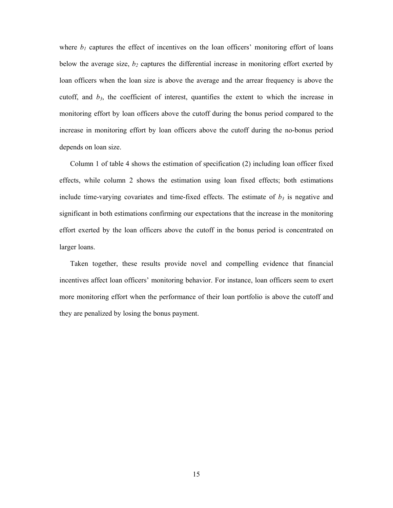where  $b_1$  captures the effect of incentives on the loan officers' monitoring effort of loans below the average size,  $b_2$  captures the differential increase in monitoring effort exerted by loan officers when the loan size is above the average and the arrear frequency is above the cutoff, and *b3*, the coefficient of interest, quantifies the extent to which the increase in monitoring effort by loan officers above the cutoff during the bonus period compared to the increase in monitoring effort by loan officers above the cutoff during the no-bonus period depends on loan size.

 Column 1 of table 4 shows the estimation of specification (2) including loan officer fixed effects, while column 2 shows the estimation using loan fixed effects; both estimations include time-varying covariates and time-fixed effects. The estimate of  $b_3$  is negative and significant in both estimations confirming our expectations that the increase in the monitoring effort exerted by the loan officers above the cutoff in the bonus period is concentrated on larger loans.

 Taken together, these results provide novel and compelling evidence that financial incentives affect loan officers' monitoring behavior. For instance, loan officers seem to exert more monitoring effort when the performance of their loan portfolio is above the cutoff and they are penalized by losing the bonus payment.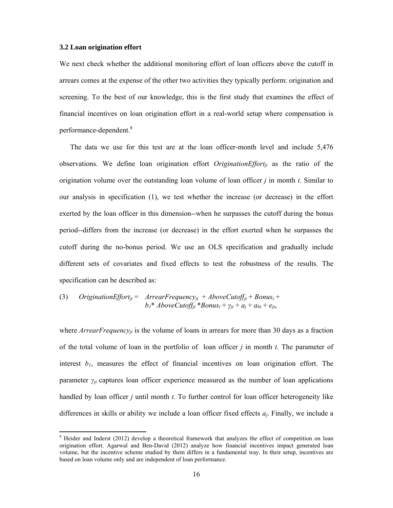#### **3.2 Loan origination effort**

We next check whether the additional monitoring effort of loan officers above the cutoff in arrears comes at the expense of the other two activities they typically perform: origination and screening. To the best of our knowledge, this is the first study that examines the effect of financial incentives on loan origination effort in a real-world setup where compensation is performance-dependent.<sup>8</sup>

 The data we use for this test are at the loan officer-month level and include 5,476 observations. We define loan origination effort *OriginationEffort<sub>it</sub>* as the ratio of the origination volume over the outstanding loan volume of loan officer *j* in month *t*. Similar to our analysis in specification (1), we test whether the increase (or decrease) in the effort exerted by the loan officer in this dimension--when he surpasses the cutoff during the bonus period--differs from the increase (or decrease) in the effort exerted when he surpasses the cutoff during the no-bonus period. We use an OLS specification and gradually include different sets of covariates and fixed effects to test the robustness of the results. The specification can be described as:

(3) *Original Original* 
$$
Effort_{jt} = \text{Area}rFrequency_{jt} + \text{AboveCutoff}_{jt} + \text{Bonus}_t + b_1^* \text{ AboveCutoff}_{jt}^* \text{Bonus}_t + \gamma_{jt} + a_j + a_{bt} + e_{jt}
$$

where *ArrearFrequency<sub>it</sub>* is the volume of loans in arrears for more than 30 days as a fraction of the total volume of loan in the portfolio of loan officer *j* in month *t*. The parameter of interest  $b_1$ , measures the effect of financial incentives on loan origination effort. The parameter  $\gamma_{it}$  captures loan officer experience measured as the number of loan applications handled by loan officer *j* until month *t*. To further control for loan officer heterogeneity like differences in skills or ability we include a loan officer fixed effects *aj*. Finally, we include a

<sup>&</sup>lt;sup>8</sup> Heider and Inderst (2012) develop a theoretical framework that analyzes the effect of competition on loan origination effort. Agarwal and Ben-David (2012) analyze how financial incentives impact generated loan volume, but the incentive scheme studied by them differs in a fundamental way. In their setup, incentives are based on loan volume only and are independent of loan performance.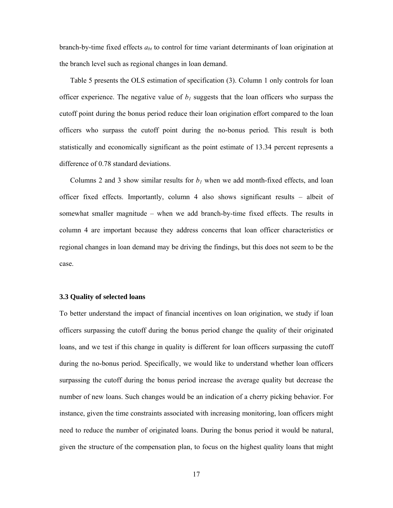branch-by-time fixed effects *abt* to control for time variant determinants of loan origination at the branch level such as regional changes in loan demand.

 Table 5 presents the OLS estimation of specification (3). Column 1 only controls for loan officer experience. The negative value of  $b<sub>1</sub>$  suggests that the loan officers who surpass the cutoff point during the bonus period reduce their loan origination effort compared to the loan officers who surpass the cutoff point during the no-bonus period. This result is both statistically and economically significant as the point estimate of 13.34 percent represents a difference of 0.78 standard deviations.

Columns 2 and 3 show similar results for  $b<sub>l</sub>$  when we add month-fixed effects, and loan officer fixed effects. Importantly, column 4 also shows significant results – albeit of somewhat smaller magnitude – when we add branch-by-time fixed effects. The results in column 4 are important because they address concerns that loan officer characteristics or regional changes in loan demand may be driving the findings, but this does not seem to be the case.

#### **3.3 Quality of selected loans**

To better understand the impact of financial incentives on loan origination, we study if loan officers surpassing the cutoff during the bonus period change the quality of their originated loans, and we test if this change in quality is different for loan officers surpassing the cutoff during the no-bonus period. Specifically, we would like to understand whether loan officers surpassing the cutoff during the bonus period increase the average quality but decrease the number of new loans. Such changes would be an indication of a cherry picking behavior. For instance, given the time constraints associated with increasing monitoring, loan officers might need to reduce the number of originated loans. During the bonus period it would be natural, given the structure of the compensation plan, to focus on the highest quality loans that might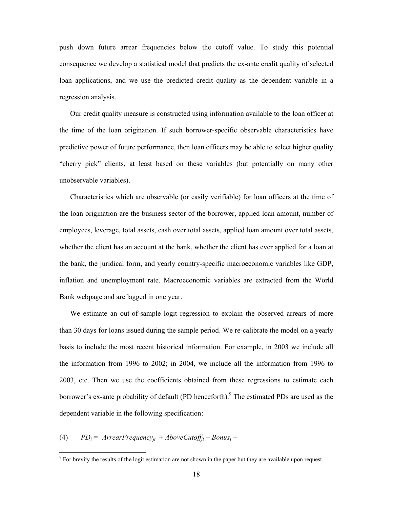push down future arrear frequencies below the cutoff value. To study this potential consequence we develop a statistical model that predicts the ex-ante credit quality of selected loan applications, and we use the predicted credit quality as the dependent variable in a regression analysis.

 Our credit quality measure is constructed using information available to the loan officer at the time of the loan origination. If such borrower-specific observable characteristics have predictive power of future performance, then loan officers may be able to select higher quality "cherry pick" clients, at least based on these variables (but potentially on many other unobservable variables).

 Characteristics which are observable (or easily verifiable) for loan officers at the time of the loan origination are the business sector of the borrower, applied loan amount, number of employees, leverage, total assets, cash over total assets, applied loan amount over total assets, whether the client has an account at the bank, whether the client has ever applied for a loan at the bank, the juridical form, and yearly country-specific macroeconomic variables like GDP, inflation and unemployment rate. Macroeconomic variables are extracted from the World Bank webpage and are lagged in one year.

 We estimate an out-of-sample logit regression to explain the observed arrears of more than 30 days for loans issued during the sample period. We re-calibrate the model on a yearly basis to include the most recent historical information. For example, in 2003 we include all the information from 1996 to 2002; in 2004, we include all the information from 1996 to 2003, etc. Then we use the coefficients obtained from these regressions to estimate each borrower's ex-ante probability of default (PD henceforth). <sup>9</sup> The estimated PDs are used as the dependent variable in the following specification:

(4)  $PD_i = ArrearFrequency_{it} + AboveCutoff_{it} + Bonus_t +$ 

<sup>&</sup>lt;sup>9</sup> For brevity the results of the logit estimation are not shown in the paper but they are available upon request.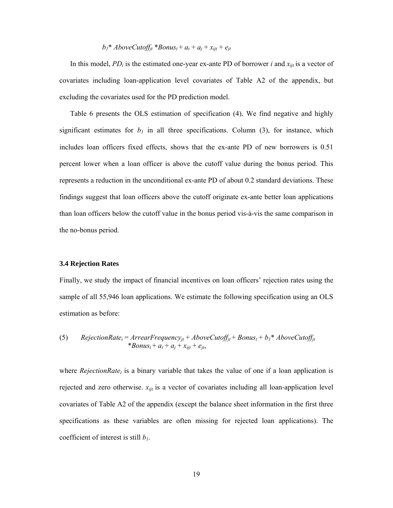## $b_1^*$  *AboveCutoff<sub>jt</sub>* \**Bonus<sub>t</sub>* +  $a_t$  +  $a_j$  +  $x_{ijt}$  +  $e_{jt}$

In this model,  $PD_i$  is the estimated one-year ex-ante PD of borrower *i* and  $x_{ijt}$  is a vector of covariates including loan-application level covariates of Table A2 of the appendix, but excluding the covariates used for the PD prediction model.

 Table 6 presents the OLS estimation of specification (4). We find negative and highly significant estimates for  $b<sub>l</sub>$  in all three specifications. Column (3), for instance, which includes loan officers fixed effects, shows that the ex-ante PD of new borrowers is 0.51 percent lower when a loan officer is above the cutoff value during the bonus period. This represents a reduction in the unconditional ex-ante PD of about 0.2 standard deviations. These findings suggest that loan officers above the cutoff originate ex-ante better loan applications than loan officers below the cutoff value in the bonus period vis-à-vis the same comparison in the no-bonus period.

#### **3.4 Rejection Rates**

Finally, we study the impact of financial incentives on loan officers' rejection rates using the sample of all 55,946 loan applications. We estimate the following specification using an OLS estimation as before:

(5) RejectionRate<sub>i</sub> = 
$$
ArrearFrequency_{jt} + AboveCutoff_{jt} + Bonus_t + b_1 * AboveCutoff_{jt}
$$
  
\* $Bonus_t + a_t + a_j + x_{ijt} + e_{jt}$ ,

where *RejectionRate<sub>i</sub>* is a binary variable that takes the value of one if a loan application is rejected and zero otherwise. *xijt* is a vector of covariates including all loan-application level covariates of Table A2 of the appendix (except the balance sheet information in the first three specifications as these variables are often missing for rejected loan applications). The coefficient of interest is still *b1*.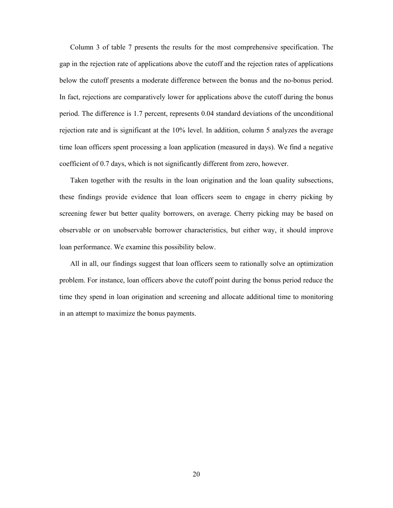Column 3 of table 7 presents the results for the most comprehensive specification. The gap in the rejection rate of applications above the cutoff and the rejection rates of applications below the cutoff presents a moderate difference between the bonus and the no-bonus period. In fact, rejections are comparatively lower for applications above the cutoff during the bonus period. The difference is 1.7 percent, represents 0.04 standard deviations of the unconditional rejection rate and is significant at the 10% level. In addition, column 5 analyzes the average time loan officers spent processing a loan application (measured in days). We find a negative coefficient of 0.7 days, which is not significantly different from zero, however.

 Taken together with the results in the loan origination and the loan quality subsections, these findings provide evidence that loan officers seem to engage in cherry picking by screening fewer but better quality borrowers, on average. Cherry picking may be based on observable or on unobservable borrower characteristics, but either way, it should improve loan performance. We examine this possibility below.

 All in all, our findings suggest that loan officers seem to rationally solve an optimization problem. For instance, loan officers above the cutoff point during the bonus period reduce the time they spend in loan origination and screening and allocate additional time to monitoring in an attempt to maximize the bonus payments.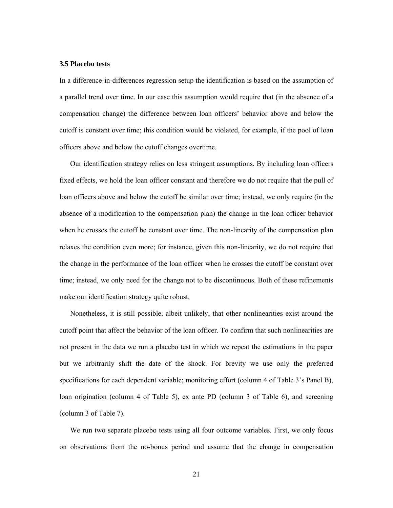## **3.5 Placebo tests**

In a difference-in-differences regression setup the identification is based on the assumption of a parallel trend over time. In our case this assumption would require that (in the absence of a compensation change) the difference between loan officers' behavior above and below the cutoff is constant over time; this condition would be violated, for example, if the pool of loan officers above and below the cutoff changes overtime.

 Our identification strategy relies on less stringent assumptions. By including loan officers fixed effects, we hold the loan officer constant and therefore we do not require that the pull of loan officers above and below the cutoff be similar over time; instead, we only require (in the absence of a modification to the compensation plan) the change in the loan officer behavior when he crosses the cutoff be constant over time. The non-linearity of the compensation plan relaxes the condition even more; for instance, given this non-linearity, we do not require that the change in the performance of the loan officer when he crosses the cutoff be constant over time; instead, we only need for the change not to be discontinuous. Both of these refinements make our identification strategy quite robust.

 Nonetheless, it is still possible, albeit unlikely, that other nonlinearities exist around the cutoff point that affect the behavior of the loan officer. To confirm that such nonlinearities are not present in the data we run a placebo test in which we repeat the estimations in the paper but we arbitrarily shift the date of the shock. For brevity we use only the preferred specifications for each dependent variable; monitoring effort (column 4 of Table 3's Panel B), loan origination (column 4 of Table 5), ex ante PD (column 3 of Table 6), and screening (column 3 of Table 7).

We run two separate placebo tests using all four outcome variables. First, we only focus on observations from the no-bonus period and assume that the change in compensation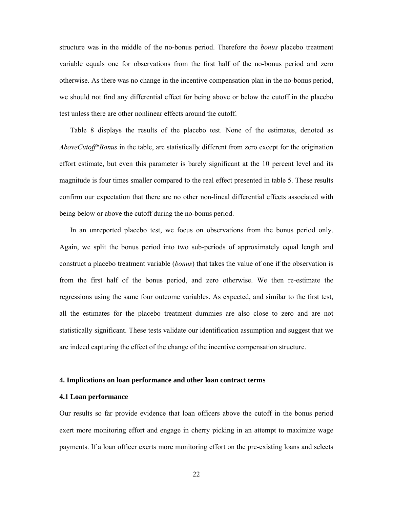structure was in the middle of the no-bonus period. Therefore the *bonus* placebo treatment variable equals one for observations from the first half of the no-bonus period and zero otherwise. As there was no change in the incentive compensation plan in the no-bonus period, we should not find any differential effect for being above or below the cutoff in the placebo test unless there are other nonlinear effects around the cutoff.

 Table 8 displays the results of the placebo test. None of the estimates, denoted as *AboveCutoff\*Bonus* in the table, are statistically different from zero except for the origination effort estimate, but even this parameter is barely significant at the 10 percent level and its magnitude is four times smaller compared to the real effect presented in table 5. These results confirm our expectation that there are no other non-lineal differential effects associated with being below or above the cutoff during the no-bonus period.

 In an unreported placebo test, we focus on observations from the bonus period only. Again, we split the bonus period into two sub-periods of approximately equal length and construct a placebo treatment variable (*bonus*) that takes the value of one if the observation is from the first half of the bonus period, and zero otherwise. We then re-estimate the regressions using the same four outcome variables. As expected, and similar to the first test, all the estimates for the placebo treatment dummies are also close to zero and are not statistically significant. These tests validate our identification assumption and suggest that we are indeed capturing the effect of the change of the incentive compensation structure.

#### **4. Implications on loan performance and other loan contract terms**

## **4.1 Loan performance**

Our results so far provide evidence that loan officers above the cutoff in the bonus period exert more monitoring effort and engage in cherry picking in an attempt to maximize wage payments. If a loan officer exerts more monitoring effort on the pre-existing loans and selects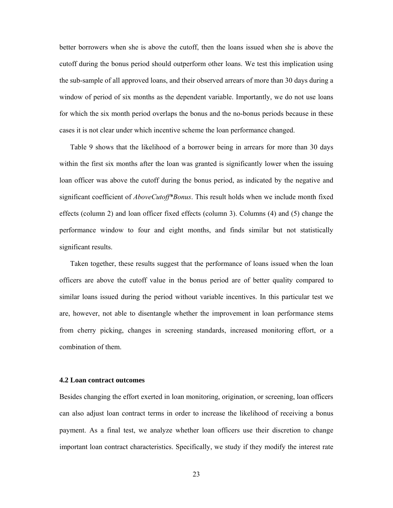better borrowers when she is above the cutoff, then the loans issued when she is above the cutoff during the bonus period should outperform other loans. We test this implication using the sub-sample of all approved loans, and their observed arrears of more than 30 days during a window of period of six months as the dependent variable. Importantly, we do not use loans for which the six month period overlaps the bonus and the no-bonus periods because in these cases it is not clear under which incentive scheme the loan performance changed.

 Table 9 shows that the likelihood of a borrower being in arrears for more than 30 days within the first six months after the loan was granted is significantly lower when the issuing loan officer was above the cutoff during the bonus period, as indicated by the negative and significant coefficient of *AboveCutoff\*Bonus*. This result holds when we include month fixed effects (column 2) and loan officer fixed effects (column 3). Columns (4) and (5) change the performance window to four and eight months, and finds similar but not statistically significant results.

 Taken together, these results suggest that the performance of loans issued when the loan officers are above the cutoff value in the bonus period are of better quality compared to similar loans issued during the period without variable incentives. In this particular test we are, however, not able to disentangle whether the improvement in loan performance stems from cherry picking, changes in screening standards, increased monitoring effort, or a combination of them.

#### **4.2 Loan contract outcomes**

Besides changing the effort exerted in loan monitoring, origination, or screening, loan officers can also adjust loan contract terms in order to increase the likelihood of receiving a bonus payment. As a final test, we analyze whether loan officers use their discretion to change important loan contract characteristics. Specifically, we study if they modify the interest rate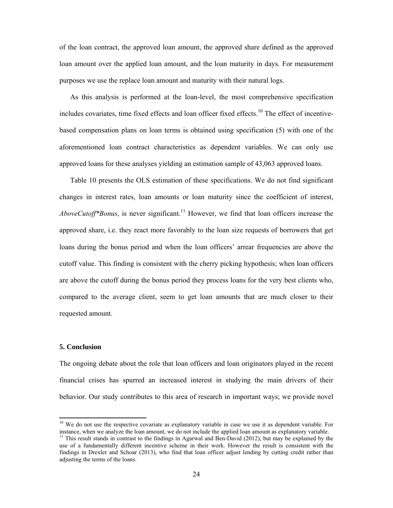of the loan contract, the approved loan amount, the approved share defined as the approved loan amount over the applied loan amount, and the loan maturity in days. For measurement purposes we use the replace loan amount and maturity with their natural logs.

 As this analysis is performed at the loan-level, the most comprehensive specification includes covariates, time fixed effects and loan officer fixed effects.<sup>10</sup> The effect of incentivebased compensation plans on loan terms is obtained using specification (5) with one of the aforementioned loan contract characteristics as dependent variables. We can only use approved loans for these analyses yielding an estimation sample of 43,063 approved loans.

 Table 10 presents the OLS estimation of these specifications. We do not find significant changes in interest rates, loan amounts or loan maturity since the coefficient of interest, *AboveCutoff\*Bonus*, is never significant.<sup>11</sup> However, we find that loan officers increase the approved share, i.e. they react more favorably to the loan size requests of borrowers that get loans during the bonus period and when the loan officers' arrear frequencies are above the cutoff value. This finding is consistent with the cherry picking hypothesis; when loan officers are above the cutoff during the bonus period they process loans for the very best clients who, compared to the average client, seem to get loan amounts that are much closer to their requested amount.

#### **5. Conclusion**

The ongoing debate about the role that loan officers and loan originators played in the recent financial crises has spurred an increased interest in studying the main drivers of their behavior. Our study contributes to this area of research in important ways; we provide novel

<sup>&</sup>lt;sup>10</sup> We do not use the respective covariate as explanatory variable in case we use it as dependent variable. For instance, when we analyze the loan amount, we do not include the applied loan amount as explanatory variable.

<sup>&</sup>lt;sup>11</sup> This result stands in contrast to the findings in Agarwal and Ben-David (2012), but may be explained by the use of a fundamentally different incentive scheme in their work. However the result is consistent with the findings in Drexler and Schoar (2013), who find that loan officer adjust lending by cutting credit rather than adjusting the terms of the loans.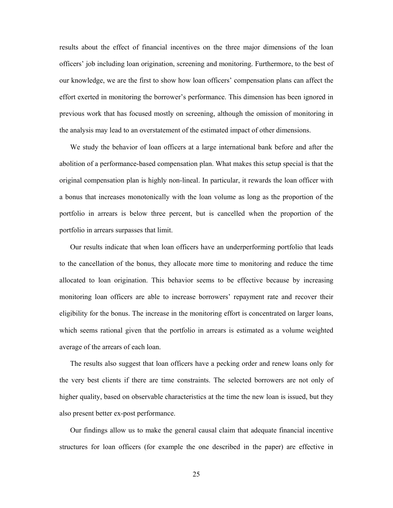results about the effect of financial incentives on the three major dimensions of the loan officers' job including loan origination, screening and monitoring. Furthermore, to the best of our knowledge, we are the first to show how loan officers' compensation plans can affect the effort exerted in monitoring the borrower's performance. This dimension has been ignored in previous work that has focused mostly on screening, although the omission of monitoring in the analysis may lead to an overstatement of the estimated impact of other dimensions.

 We study the behavior of loan officers at a large international bank before and after the abolition of a performance-based compensation plan. What makes this setup special is that the original compensation plan is highly non-lineal. In particular, it rewards the loan officer with a bonus that increases monotonically with the loan volume as long as the proportion of the portfolio in arrears is below three percent, but is cancelled when the proportion of the portfolio in arrears surpasses that limit.

 Our results indicate that when loan officers have an underperforming portfolio that leads to the cancellation of the bonus, they allocate more time to monitoring and reduce the time allocated to loan origination. This behavior seems to be effective because by increasing monitoring loan officers are able to increase borrowers' repayment rate and recover their eligibility for the bonus. The increase in the monitoring effort is concentrated on larger loans, which seems rational given that the portfolio in arrears is estimated as a volume weighted average of the arrears of each loan.

 The results also suggest that loan officers have a pecking order and renew loans only for the very best clients if there are time constraints. The selected borrowers are not only of higher quality, based on observable characteristics at the time the new loan is issued, but they also present better ex-post performance.

 Our findings allow us to make the general causal claim that adequate financial incentive structures for loan officers (for example the one described in the paper) are effective in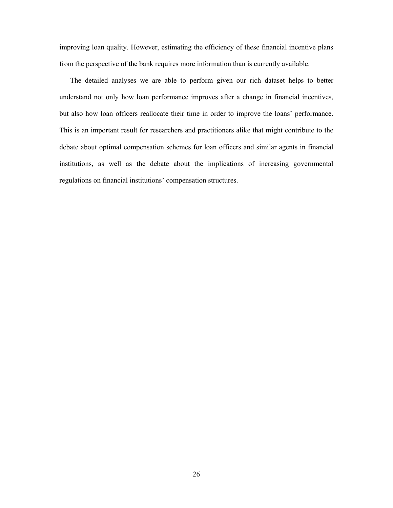improving loan quality. However, estimating the efficiency of these financial incentive plans from the perspective of the bank requires more information than is currently available.

 The detailed analyses we are able to perform given our rich dataset helps to better understand not only how loan performance improves after a change in financial incentives, but also how loan officers reallocate their time in order to improve the loans' performance. This is an important result for researchers and practitioners alike that might contribute to the debate about optimal compensation schemes for loan officers and similar agents in financial institutions, as well as the debate about the implications of increasing governmental regulations on financial institutions' compensation structures.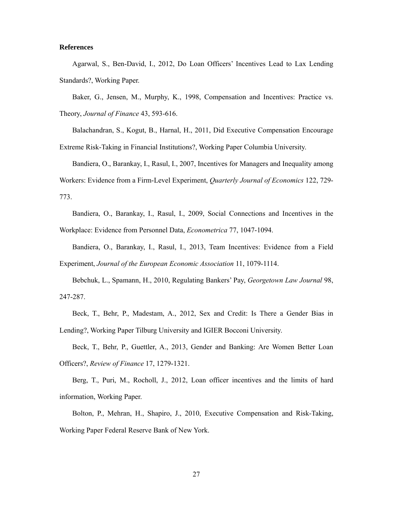### **References**

Agarwal, S., Ben-David, I., 2012, Do Loan Officers' Incentives Lead to Lax Lending Standards?, Working Paper.

Baker, G., Jensen, M., Murphy, K., 1998, Compensation and Incentives: Practice vs. Theory, *Journal of Finance* 43, 593-616.

Balachandran, S., Kogut, B., Harnal, H., 2011, Did Executive Compensation Encourage Extreme Risk-Taking in Financial Institutions?, Working Paper Columbia University.

Bandiera, O., Barankay, I., Rasul, I., 2007, Incentives for Managers and Inequality among Workers: Evidence from a Firm-Level Experiment, *Quarterly Journal of Economics* 122, 729- 773.

Bandiera, O., Barankay, I., Rasul, I., 2009, Social Connections and Incentives in the Workplace: Evidence from Personnel Data, *Econometrica* 77, 1047-1094.

Bandiera, O., Barankay, I., Rasul, I., 2013, Team Incentives: Evidence from a Field Experiment, *Journal of the European Economic Association* 11, 1079-1114.

Bebchuk, L., Spamann, H., 2010, Regulating Bankers' Pay, *Georgetown Law Journal* 98, 247-287.

Beck, T., Behr, P., Madestam, A., 2012, Sex and Credit: Is There a Gender Bias in Lending?, Working Paper Tilburg University and IGIER Bocconi University.

Beck, T., Behr, P., Guettler, A., 2013, Gender and Banking: Are Women Better Loan Officers?, *Review of Finance* 17, 1279-1321.

Berg, T., Puri, M., Rocholl, J., 2012, Loan officer incentives and the limits of hard information, Working Paper.

Bolton, P., Mehran, H., Shapiro, J., 2010, Executive Compensation and Risk-Taking, Working Paper Federal Reserve Bank of New York.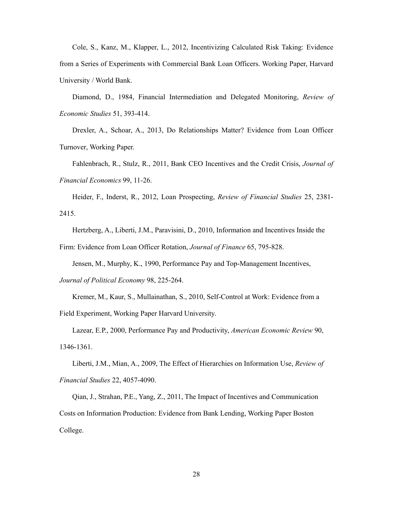Cole, S., Kanz, M., Klapper, L., 2012, Incentivizing Calculated Risk Taking: Evidence from a Series of Experiments with Commercial Bank Loan Officers. Working Paper, Harvard University / World Bank.

Diamond, D., 1984, Financial Intermediation and Delegated Monitoring, *Review of Economic Studies* 51, 393-414.

Drexler, A., Schoar, A., 2013, Do Relationships Matter? Evidence from Loan Officer Turnover, Working Paper.

Fahlenbrach, R., Stulz, R., 2011, Bank CEO Incentives and the Credit Crisis, *Journal of Financial Economics* 99, 11-26.

Heider, F., Inderst, R., 2012, Loan Prospecting, *Review of Financial Studies* 25, 2381- 2415.

Hertzberg, A., Liberti, J.M., Paravisini, D., 2010, Information and Incentives Inside the Firm: Evidence from Loan Officer Rotation, *Journal of Finance* 65, 795-828.

Jensen, M., Murphy, K., 1990, Performance Pay and Top-Management Incentives, *Journal of Political Economy* 98, 225-264.

Kremer, M., Kaur, S., Mullainathan, S., 2010, Self-Control at Work: Evidence from a Field Experiment, Working Paper Harvard University.

Lazear, E.P., 2000, Performance Pay and Productivity, *American Economic Review* 90, 1346-1361.

Liberti, J.M., Mian, A., 2009, The Effect of Hierarchies on Information Use, *Review of Financial Studies* 22, 4057-4090.

Qian, J., Strahan, P.E., Yang, Z., 2011, The Impact of Incentives and Communication Costs on Information Production: Evidence from Bank Lending, Working Paper Boston College.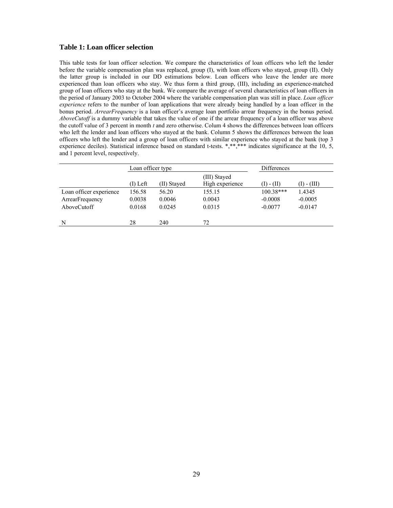## **Table 1: Loan officer selection**

This table tests for loan officer selection. We compare the characteristics of loan officers who left the lender before the variable compensation plan was replaced, group (I), with loan officers who stayed, group (II). Only the latter group is included in our DD estimations below. Loan officers who leave the lender are more experienced than loan officers who stay. We thus form a third group, (III), including an experience-matched group of loan officers who stay at the bank. We compare the average of several characteristics of loan officers in the period of January 2003 to October 2004 where the variable compensation plan was still in place. *Loan officer experience* refers to the number of loan applications that were already being handled by a loan officer in the bonus period. *ArrearFrequency* is a loan officer's average loan portfolio arrear frequency in the bonus period. *AboveCutoff* is a dummy variable that takes the value of one if the arrear frequency of a loan officer was above the cutoff value of 3 percent in month *t* and zero otherwise. Colum 4 shows the differences between loan officers who left the lender and loan officers who stayed at the bank. Column 5 shows the differences between the loan officers who left the lender and a group of loan officers with similar experience who stayed at the bank (top 3 experience deciles). Statistical inference based on standard t-tests. \*,\*\*,\*\*\* indicates significance at the 10, 5, and 1 percent level, respectively.

|                         | Loan officer type |             |                                 | Differences |             |  |
|-------------------------|-------------------|-------------|---------------------------------|-------------|-------------|--|
|                         | $(I)$ Left        | (II) Staved | (III) Stayed<br>High experience | (I) - (II)  | (I) - (III) |  |
| Loan officer experience | 156.58            | 56.20       | 155.15                          | $100.38***$ | 1.4345      |  |
| ArrearFrequency         | 0.0038            | 0.0046      | 0.0043                          | $-0.0008$   | $-0.0005$   |  |
| AboveCutoff             | 0.0168            | 0.0245      | 0.0315                          | $-0.0077$   | $-0.0147$   |  |
| N                       | 28                | 240         | 72                              |             |             |  |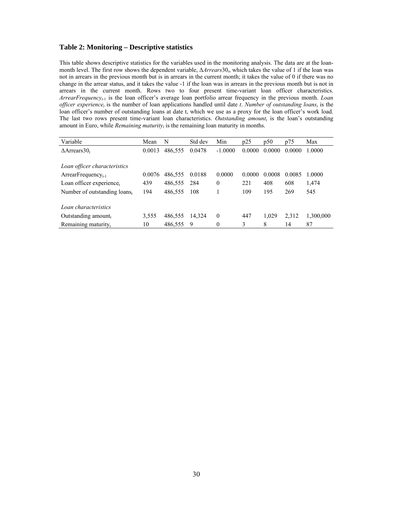## **Table 2: Monitoring – Descriptive statistics**

This table shows descriptive statistics for the variables used in the monitoring analysis. The data are at the loanmonth level. The first row shows the dependent variable, Δ*Arrears*30*t*, which takes the value of 1 if the loan was not in arrears in the previous month but is in arrears in the current month; it takes the value of 0 if there was no change in the arrear status, and it takes the value -1 if the loan was in arrears in the previous month but is not in arrears in the current month. Rows two to four present time-variant loan officer characteristics. *ArrearFrequencyt-*1 is the loan officer's average loan portfolio arrear frequency in the previous month. *Loan officer experience<sub>t</sub>* is the number of loan applications handled until date *t*. *Number of outstanding loans*<sub>*i*</sub> is the loan officer's number of outstanding loans at date t, which we use as a proxy for the loan officer's work load. The last two rows present time-variant loan characteristics. *Outstanding amount*, is the loan's outstanding amount in Euro, while *Remaining maturity<sub>t</sub>* is the remaining loan maturity in months.

| Variable                        | Mean   | N       | Std dev | Min          | p25    | p50    | p75    | Max       |
|---------------------------------|--------|---------|---------|--------------|--------|--------|--------|-----------|
| $\Delta$ Arrears30 <sub>t</sub> | 0.0013 | 486,555 | 0.0478  | $-1.0000$    | 0.0000 | 0.0000 | 0.0000 | 1.0000    |
|                                 |        |         |         |              |        |        |        |           |
| Loan officer characteristics    |        |         |         |              |        |        |        |           |
| ArrearFrequency $_{t-1}$        | 0.0076 | 486,555 | 0.0188  | 0.0000       | 0.0000 | 0.0008 | 0.0085 | 1.0000    |
| Loan officer experience,        | 439    | 486,555 | 284     | $\mathbf{0}$ | 221    | 408    | 608    | 1,474     |
| Number of outstanding loans,    | 194    | 486,555 | 108     |              | 109    | 195    | 269    | 545       |
| Loan characteristics            |        |         |         |              |        |        |        |           |
| Outstanding amount,             | 3,555  | 486,555 | 14.324  | $\theta$     | 447    | 1.029  | 2,312  | 1,300,000 |
|                                 |        |         |         |              |        |        |        |           |
| Remaining maturity <sub>t</sub> | 10     | 486,555 | 9       | $\mathbf{0}$ | 3      | 8      | 14     | 87        |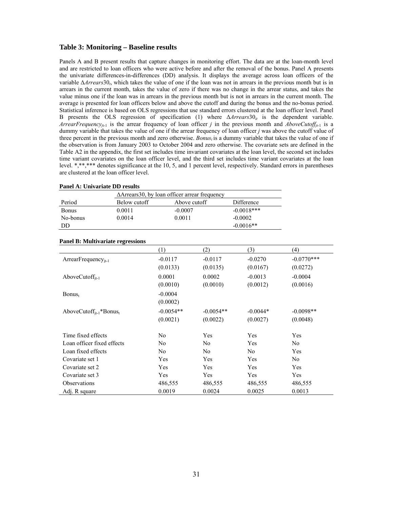#### **Table 3: Monitoring – Baseline results**

Panels A and B present results that capture changes in monitoring effort. The data are at the loan-month level and are restricted to loan officers who were active before and after the removal of the bonus. Panel A presents the univariate differences-in-differences (DD) analysis. It displays the average across loan officers of the variable Δ*Arrears*30*t*, which takes the value of one if the loan was not in arrears in the previous month but is in arrears in the current month, takes the value of zero if there was no change in the arrear status, and takes the value minus one if the loan was in arrears in the previous month but is not in arrears in the current month. The average is presented for loan officers below and above the cutoff and during the bonus and the no-bonus period. Statistical inference is based on OLS regressions that use standard errors clustered at the loan officer level. Panel B presents the OLS regression of specification (1) where  $Δ$ *rrears*30<sub>*it*</sub> is the dependent variable. *ArrearFrequency<sub>jt-1</sub>* is the arrear frequency of loan officer *j* in the previous month and *AboveCutoff<sub>jt-1</sub>* is a dummy variable that takes the value of one if the arrear frequency of loan officer *j* was above the cutoff value of three percent in the previous month and zero otherwise. *Bonus<sub>t</sub>* is a dummy variable that takes the value of one if the observation is from January 2003 to October 2004 and zero otherwise. The covariate sets are defined in the Table A2 in the appendix, the first set includes time invariant covariates at the loan level, the second set includes time variant covariates on the loan officer level, and the third set includes time variant covariates at the loan level. \*,\*\*,\*\*\* denotes significance at the 10, 5, and 1 percent level, respectively. Standard errors in parentheses are clustered at the loan officer level.

|              |              | $\Delta$ Arrears 30, by loan officer arrear frequency |              |  |  |  |  |
|--------------|--------------|-------------------------------------------------------|--------------|--|--|--|--|
| Period       | Below cutoff | Above cutoff                                          | Difference   |  |  |  |  |
| <b>Bonus</b> | 0.0011       | $-0.0007$                                             | $-0.0018***$ |  |  |  |  |
| No-bonus     | 0.0014       | 0.0011                                                | $-0.0002$    |  |  |  |  |
| DD           |              |                                                       | $-0.0016**$  |  |  |  |  |

## **Panel A: Univariate DD results**

| Panel B: Multivariate regressions               |             |             |                |                |
|-------------------------------------------------|-------------|-------------|----------------|----------------|
|                                                 | (1)         | (2)         | (3)            | (4)            |
| $ArrearFrequency_{it-1}$                        | $-0.0117$   | $-0.0117$   | $-0.0270$      | $-0.0770***$   |
|                                                 | (0.0133)    | (0.0135)    | (0.0167)       | (0.0272)       |
| AboveCutoff $_{it-1}$                           | 0.0001      | 0.0002      | $-0.0013$      | $-0.0004$      |
|                                                 | (0.0010)    | (0.0010)    | (0.0012)       | (0.0016)       |
| Bonus <sub>t</sub>                              | $-0.0004$   |             |                |                |
|                                                 | (0.0002)    |             |                |                |
| AboveCutoff <sub>it-1</sub> *Bonus <sub>t</sub> | $-0.0054**$ | $-0.0054**$ | $-0.0044*$     | $-0.0098**$    |
|                                                 | (0.0021)    | (0.0022)    | (0.0027)       | (0.0048)       |
| Time fixed effects                              | No.         | Yes         | Yes            | Yes            |
| Loan officer fixed effects                      | No          | No          | Yes            | N <sub>0</sub> |
| Loan fixed effects                              | No          | No          | N <sub>0</sub> | Yes            |
| Covariate set 1                                 | Yes         | Yes         | Yes            | N <sub>0</sub> |
| Covariate set 2                                 | Yes         | Yes         | Yes            | <b>Yes</b>     |
| Covariate set 3                                 | Yes         | Yes         | Yes            | <b>Yes</b>     |
| Observations                                    | 486,555     | 486,555     | 486,555        | 486,555        |
| Adj. R square                                   | 0.0019      | 0.0024      | 0.0025         | 0.0013         |

## **Panel B: Multivariate regressions**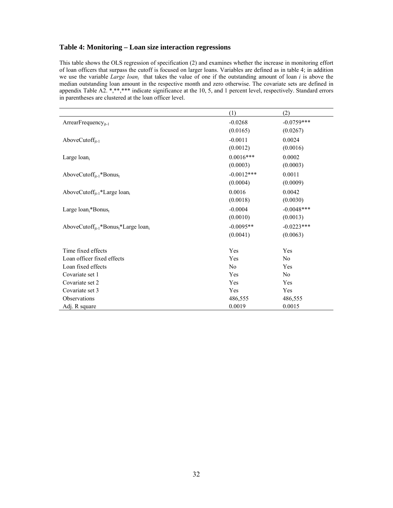## **Table 4: Monitoring – Loan size interaction regressions**

l.

This table shows the OLS regression of specification (2) and examines whether the increase in monitoring effort of loan officers that surpass the cutoff is focused on larger loans. Variables are defined as in table 4; in addition we use the variable *Large loan<sub>i</sub>* that takes the value of one if the outstanding amount of loan *i* is above the median outstanding loan amount in the respective month and zero otherwise. The covariate sets are defined in appendix Table A2. \*,\*\*,\*\*\* indicate significance at the 10, 5, and 1 percent level, respectively. Standard errors in parentheses are clustered at the loan officer level.

|                                                                          | (1)            | (2)            |
|--------------------------------------------------------------------------|----------------|----------------|
| $ArrearFrequency_{it-1}$                                                 | $-0.0268$      | $-0.0759***$   |
|                                                                          | (0.0165)       | (0.0267)       |
| AboveCuto $\mathrm{ff}_{\mathrm{it-1}}$                                  | $-0.0011$      | 0.0024         |
|                                                                          | (0.0012)       | (0.0016)       |
| Large loan <sub>i</sub>                                                  | $0.0016***$    | 0.0002         |
|                                                                          | (0.0003)       | (0.0003)       |
| AboveCutoff <sub>it-1</sub> *Bonus <sub>t</sub>                          | $-0.0012***$   | 0.0011         |
|                                                                          | (0.0004)       | (0.0009)       |
| AboveCutoff <sub>it-1</sub> *Large loan <sub>i</sub>                     | 0.0016         | 0.0042         |
|                                                                          | (0.0018)       | (0.0030)       |
| Large $loani * Bonust$                                                   | $-0.0004$      | $-0.0048$ ***  |
|                                                                          | (0.0010)       | (0.0013)       |
| AboveCutoff <sub>it-1</sub> *Bonus <sub>t</sub> *Large loan <sub>i</sub> | $-0.0095**$    | $-0.0223***$   |
|                                                                          | (0.0041)       | (0.0063)       |
| Time fixed effects                                                       | Yes            | Yes            |
| Loan officer fixed effects                                               | Yes            | N <sub>0</sub> |
| Loan fixed effects                                                       | N <sub>0</sub> | Yes            |
| Covariate set 1                                                          | Yes            | N <sub>0</sub> |
| Covariate set 2                                                          | Yes            | Yes            |
| Covariate set 3                                                          | Yes            | Yes            |
| Observations                                                             | 486,555        | 486,555        |
| Adj. R square                                                            | 0.0019         | 0.0015         |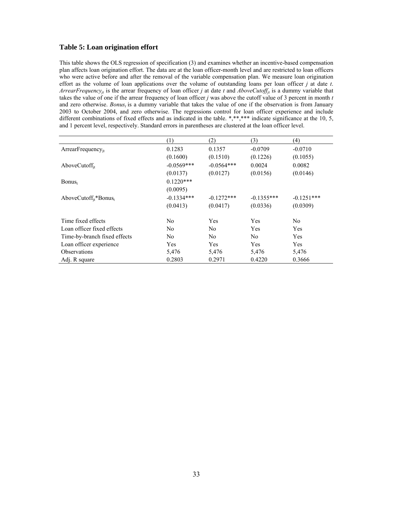## **Table 5: Loan origination effort**

This table shows the OLS regression of specification (3) and examines whether an incentive-based compensation plan affects loan origination effort. The data are at the loan officer-month level and are restricted to loan officers who were active before and after the removal of the variable compensation plan. We measure loan origination effort as the volume of loan applications over the volume of outstanding loans per loan officer *j* at date *t*. *ArrearFrequency<sub>it</sub>* is the arrear frequency of loan officer *j* at date *t* and *AboveCutoff<sub>it</sub>* is a dummy variable that takes the value of one if the arrear frequency of loan officer *j* was above the cutoff value of 3 percent in month *t* and zero otherwise. *Bonus<sub>t</sub>* is a dummy variable that takes the value of one if the observation is from January 2003 to October 2004, and zero otherwise. The regressions control for loan officer experience and include different combinations of fixed effects and as indicated in the table. \*,\*\*,\*\*\* indicate significance at the 10, 5, and 1 percent level, respectively. Standard errors in parentheses are clustered at the loan officer level.

|                                               | (1)            | (2)           | (3)            | (4)            |
|-----------------------------------------------|----------------|---------------|----------------|----------------|
| $ArrearFrequency_{it}$                        | 0.1283         | 0.1357        | $-0.0709$      | $-0.0710$      |
|                                               | (0.1600)       | (0.1510)      | (0.1226)       | (0.1055)       |
| AboveCuto $\mathrm{ff}_{\mathrm{it}}$         | $-0.0569***$   | $-0.0564***$  | 0.0024         | 0.0082         |
|                                               | (0.0137)       | (0.0127)      | (0.0156)       | (0.0146)       |
| Bonus <sub>t</sub>                            | $0.1220***$    |               |                |                |
|                                               | (0.0095)       |               |                |                |
| AboveCutoff <sub>it</sub> *Bonus <sub>t</sub> | $-0.1334***$   | $-0.1272$ *** | $-0.1355***$   | $-0.1251***$   |
|                                               | (0.0413)       | (0.0417)      | (0.0336)       | (0.0309)       |
| Time fixed effects                            | N <sub>0</sub> | Yes           | Yes            | N <sub>0</sub> |
| Loan officer fixed effects                    | N <sub>0</sub> | No            | Yes            | Yes            |
| Time-by-branch fixed effects                  | No.            | No            | N <sub>0</sub> | Yes            |
| Loan officer experience                       | Yes            | Yes           | Yes            | Yes            |
| <b>Observations</b>                           | 5,476          | 5,476         | 5,476          | 5,476          |
| Adj. R square                                 | 0.2803         | 0.2971        | 0.4220         | 0.3666         |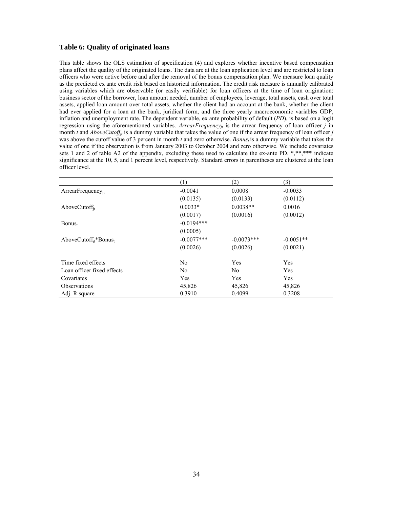## **Table 6: Quality of originated loans**

This table shows the OLS estimation of specification (4) and explores whether incentive based compensation plans affect the quality of the originated loans. The data are at the loan application level and are restricted to loan officers who were active before and after the removal of the bonus compensation plan. We measure loan quality as the predicted ex ante credit risk based on historical information. The credit risk measure is annually calibrated using variables which are observable (or easily verifiable) for loan officers at the time of loan origination: business sector of the borrower, loan amount needed, number of employees, leverage, total assets, cash over total assets, applied loan amount over total assets, whether the client had an account at the bank, whether the client had ever applied for a loan at the bank, juridical form, and the three yearly macroeconomic variables GDP, inflation and unemployment rate. The dependent variable, ex ante probability of default (*PD*), is based on a logit regression using the aforementioned variables. *ArrearFrequencyjt* is the arrear frequency of loan officer *j* in month *t* and *AboveCutoff<sub>ji</sub>* is a dummy variable that takes the value of one if the arrear frequency of loan officer *j* was above the cutoff value of 3 percent in month *t* and zero otherwise. *Bonus<sub>t</sub>* is a dummy variable that takes the value of one if the observation is from January 2003 to October 2004 and zero otherwise. We include covariates sets 1 and 2 of table A2 of the appendix, excluding these used to calculate the ex-ante PD. \*,\*\*,\*\*\* indicate significance at the 10, 5, and 1 percent level, respectively. Standard errors in parentheses are clustered at the loan officer level.

|                                               | (1)            | (2)            | (3)         |
|-----------------------------------------------|----------------|----------------|-------------|
| ArrearFrequency $_{it}$                       | $-0.0041$      | 0.0008         | $-0.0033$   |
|                                               | (0.0135)       | (0.0133)       | (0.0112)    |
| AboveCuto $\mathrm{ff}_{it}$                  | $0.0033*$      | $0.0038**$     | 0.0016      |
|                                               | (0.0017)       | (0.0016)       | (0.0012)    |
| Bonus <sub>t</sub>                            | $-0.0194***$   |                |             |
|                                               | (0.0005)       |                |             |
| AboveCutoff <sub>it</sub> *Bonus <sub>t</sub> | $-0.0077***$   | $-0.0073***$   | $-0.0051**$ |
|                                               | (0.0026)       | (0.0026)       | (0.0021)    |
| Time fixed effects                            | N <sub>0</sub> | Yes            | Yes         |
| Loan officer fixed effects                    | N <sub>0</sub> | N <sub>0</sub> | Yes         |
| Covariates                                    | Yes            | Yes            | Yes         |
| <b>Observations</b>                           | 45,826         | 45,826         | 45,826      |
| Adj. R square                                 | 0.3910         | 0.4099         | 0.3208      |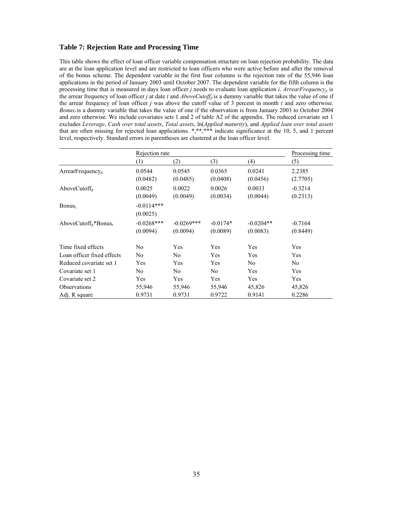## **Table 7: Rejection Rate and Processing Time**

This table shows the effect of loan officer variable compensation structure on loan rejection probability. The data are at the loan application level and are restricted to loan officers who were active before and after the removal of the bonus scheme. The dependent variable in the first four columns is the rejection rate of the 55,946 loan applications in the period of January 2003 until October 2007. The dependent variable for the fifth column is the processing time that is measured in days loan officer *j* needs to evaluate loan application *i*. *ArrearFrequency<sub>it</sub>* is the arrear frequency of loan officer *j* at date *t* and *AboveCutoff<sub>it</sub>* is a dummy variable that takes the value of one if the arrear frequency of loan officer *j* was above the cutoff value of 3 percent in month *t* and zero otherwise. *Bonus<sub>t</sub>* is a dummy variable that takes the value of one if the observation is from January 2003 to October 2004 and zero otherwise. We include covariates sets 1 and 2 of table A2 of the appendix. The reduced covariate set 1 excludes *Leverage*, *Cash over total assets*, *Total assets*, ln(*Applied maturity*), and *Applied loan over total assets* that are often missing for rejected loan applications.  $*,**,**$  indicate significance at the 10, 5, and 1 percent level, respectively. Standard errors in parentheses are clustered at the loan officer level.

|                                               |                | Rejection rate |                |                |                |
|-----------------------------------------------|----------------|----------------|----------------|----------------|----------------|
|                                               | (1)            | (2)            | (3)            | (4)            | (5)            |
| $ArrearFrequency_{it}$                        | 0.0544         | 0.0545         | 0.0365         | 0.0241         | 2.2385         |
|                                               | (0.0482)       | (0.0485)       | (0.0408)       | (0.0456)       | (2.7705)       |
| AboveCutoff $_{it}$                           | 0.0025         | 0.0022         | 0.0026         | 0.0033         | $-0.3214$      |
|                                               | (0.0049)       | (0.0049)       | (0.0034)       | (0.0044)       | (0.2313)       |
| $Bonus_t$                                     | $-0.0114***$   |                |                |                |                |
|                                               | (0.0025)       |                |                |                |                |
| AboveCutoff <sub>it</sub> *Bonus <sub>t</sub> | $-0.0268$ ***  | $-0.0269***$   | $-0.0174*$     | $-0.0204**$    | $-0.7164$      |
|                                               | (0.0094)       | (0.0094)       | (0.0089)       | (0.0083)       | (0.8449)       |
| Time fixed effects                            | N <sub>0</sub> | Yes            | Yes            | Yes            | Yes            |
| Loan officer fixed effects                    | N <sub>0</sub> | No             | Yes            | Yes            | Yes            |
| Reduced covariate set 1                       | Yes            | Yes            | Yes            | N <sub>0</sub> | N <sub>0</sub> |
| Covariate set 1                               | No             | No             | N <sub>0</sub> | Yes            | Yes            |
| Covariate set 2                               | Yes            | Yes            | Yes            | Yes            | Yes            |
| <b>Observations</b>                           | 55,946         | 55,946         | 55,946         | 45,826         | 45,826         |
| Adj. R square                                 | 0.9731         | 0.9731         | 0.9722         | 0.9141         | 0.2286         |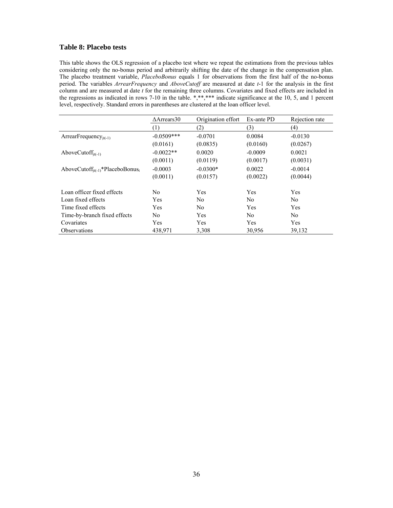## **Table 8: Placebo tests**

This table shows the OLS regression of a placebo test where we repeat the estimations from the previous tables considering only the no-bonus period and arbitrarily shifting the date of the change in the compensation plan. The placebo treatment variable, *PlaceboBonus* equals 1 for observations from the first half of the no-bonus period. The variables *ArrearFrequency* and *AboveCutoff* are measured at date *t*-1 for the analysis in the first column and are measured at date *t* for the remaining three columns. Covariates and fixed effects are included in the regressions as indicated in rows 7-10 in the table. \*,\*\*,\*\*\* indicate significance at the 10, 5, and 1 percent level, respectively. Standard errors in parentheses are clustered at the loan officer level.

|                                                          | $\Delta$ Arrears30 | Origination effort | Ex-ante PD | Rejection rate |
|----------------------------------------------------------|--------------------|--------------------|------------|----------------|
|                                                          | (1)                | (2)                | (3)        | (4)            |
| ArrearFrequency <sub>it(-1)</sub>                        | $-0.0509***$       | $-0.0701$          | 0.0084     | $-0.0130$      |
|                                                          | (0.0161)           | (0.0835)           | (0.0160)   | (0.0267)       |
| AboveCutoff $_{it(-1)}$                                  | $-0.0022**$        | 0.0020             | $-0.0009$  | 0.0021         |
|                                                          | (0.0011)           | (0.0119)           | (0.0017)   | (0.0031)       |
| AboveCutoff <sub>it(-1)</sub> *PlaceboBonus <sub>t</sub> | $-0.0003$          | $-0.0300*$         | 0.0022     | $-0.0014$      |
|                                                          | (0.0011)           | (0.0157)           | (0.0022)   | (0.0044)       |
| Loan officer fixed effects                               | N <sub>0</sub>     | Yes                | Yes        | Yes            |
| Loan fixed effects                                       | Yes                | N <sub>0</sub>     | No.        | N <sub>0</sub> |
| Time fixed effects                                       | Yes                | N <sub>0</sub>     | Yes        | Yes            |
| Time-by-branch fixed effects                             | N <sub>0</sub>     | Yes                | No         | N <sub>0</sub> |
| Covariates                                               | Yes                | Yes                | Yes        | Yes            |
| <b>Observations</b>                                      | 438,971            | 3,308              | 30,956     | 39,132         |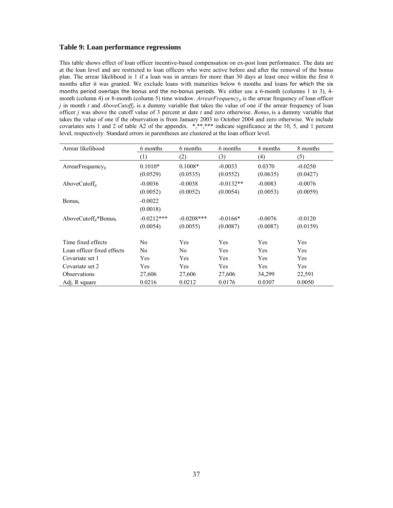## **Table 9: Loan performance regressions**

This table shows effect of loan officer incentive-based compensation on ex-post loan performance. The data are at the loan level and are restricted to loan officers who were active before and after the removal of the bonus plan. The arrear likelihood is 1 if a loan was in arrears for more than 30 days at least once within the first 6 months after it was granted. We exclude loans with maturities below 6 months and loans for which the six months period overlaps the bonus and the no-bonus periods. We either use a 6-month (columns 1 to 3), 4month (column 4) or 8-month (column 5) time window. *ArrearFrequency<sub>jt</sub>* is the arrear frequency of loan officer *j* in month *t* and *AboveCutoff<sub>jt</sub>* is a dummy variable that takes the value of one if the arrear frequency of loan officer *j* was above the cutoff value of 3 percent at date  $t$  and zero otherwise. *Bonus<sub>t</sub>* is a dummy variable that takes the value of one if the observation is from January 2003 to October 2004 and zero otherwise. We include covariates sets 1 and 2 of table A2 of the appendix. \*,\*\*,\*\*\* indicate significance at the 10, 5, and 1 percent level, respectively. Standard errors in parentheses are clustered at the loan officer level.

| Arrear likelihood                             | 6 months     | 6 months<br>6 months |             | 4 months  | 8 months  |
|-----------------------------------------------|--------------|----------------------|-------------|-----------|-----------|
|                                               | (1)          | (2)                  | (3)         | (4)       | (5)       |
| $ArrearFrequency_{it}$                        | $0.1010*$    | $0.1008*$            | $-0.0033$   | 0.0370    | $-0.0250$ |
|                                               | (0.0529)     | (0.0535)             | (0.0552)    | (0.0635)  | (0.0427)  |
| AboveCutoff <sub>it</sub>                     | $-0.0036$    | $-0.0038$            | $-0.0132**$ | $-0.0083$ | $-0.0076$ |
|                                               | (0.0052)     | (0.0052)             | (0.0054)    | (0.0053)  | (0.0059)  |
| Bonus <sub>t</sub>                            | $-0.0022$    |                      |             |           |           |
|                                               | (0.0018)     |                      |             |           |           |
| AboveCutoff <sub>it</sub> *Bonus <sub>t</sub> | $-0.0212***$ | $-0.0208$ ***        | $-0.0166*$  | $-0.0076$ | $-0.0120$ |
|                                               | (0.0054)     | (0.0055)             | (0.0087)    | (0.0087)  | (0.0159)  |
| Time fixed effects                            | No.          | Yes                  | Yes         | Yes       | Yes       |
| Loan officer fixed effects                    | No.          | No.                  | Yes         | Yes       | Yes       |
| Covariate set 1                               | Yes          | Yes                  | Yes         | Yes       | Yes       |
| Covariate set 2                               | Yes          | Yes                  | Yes         | Yes       | Yes       |
| <b>Observations</b>                           | 27,606       | 27,606               | 27,606      | 34,299    | 22,591    |
| Adj. R square                                 | 0.0216       | 0.0212               | 0.0176      | 0.0307    | 0.0050    |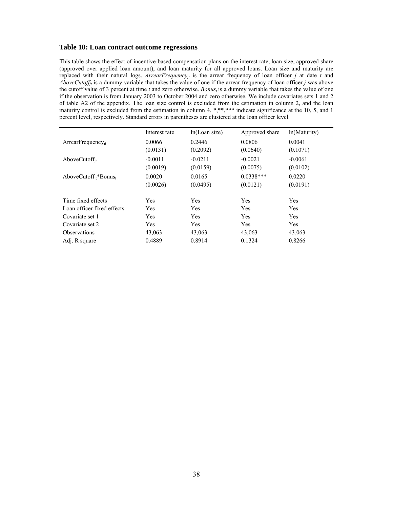### **Table 10: Loan contract outcome regressions**

This table shows the effect of incentive-based compensation plans on the interest rate, loan size, approved share (approved over applied loan amount), and loan maturity for all approved loans. Loan size and maturity are replaced with their natural logs. *ArrearFrequency<sub>it</sub>* is the arrear frequency of loan officer *j* at date *t* and *AboveCutoff<sub>it</sub>* is a dummy variable that takes the value of one if the arrear frequency of loan officer *j* was above the cutoff value of 3 percent at time *t* and zero otherwise. *Bonust* is a dummy variable that takes the value of one if the observation is from January 2003 to October 2004 and zero otherwise. We include covariates sets 1 and 2 of table A2 of the appendix. The loan size control is excluded from the estimation in column 2, and the loan maturity control is excluded from the estimation in column 4. \*,\*\*,\*\*\* indicate significance at the 10, 5, and 1 percent level, respectively. Standard errors in parentheses are clustered at the loan officer level.

|                                               | Interest rate | ln(Loan size) | Approved share | ln(Maturity) |
|-----------------------------------------------|---------------|---------------|----------------|--------------|
| $ArrearFrequency_{it}$                        | 0.0066        | 0.2446        | 0.0806         | 0.0041       |
|                                               | (0.0131)      | (0.2092)      | (0.0640)       | (0.1071)     |
| AboveCutoff $_{it}$                           | $-0.0011$     | $-0.0211$     | $-0.0021$      | $-0.0061$    |
|                                               | (0.0019)      | (0.0159)      | (0.0075)       | (0.0102)     |
| AboveCutoff <sub>it</sub> *Bonus <sub>t</sub> | 0.0020        | 0.0165        | $0.0338***$    | 0.0220       |
|                                               | (0.0026)      | (0.0495)      | (0.0121)       | (0.0191)     |
| Time fixed effects                            | Yes           | Yes           | Yes            | Yes          |
| Loan officer fixed effects                    | Yes           | Yes           | Yes            | Yes          |
| Covariate set 1                               | Yes           | Yes           | Yes            | Yes          |
| Covariate set 2                               | Yes           | Yes           | Yes            | Yes          |
| <b>Observations</b>                           | 43,063        | 43,063        | 43,063         | 43,063       |
| Adj. R square                                 | 0.4889        | 0.8914        | 0.1324         | 0.8266       |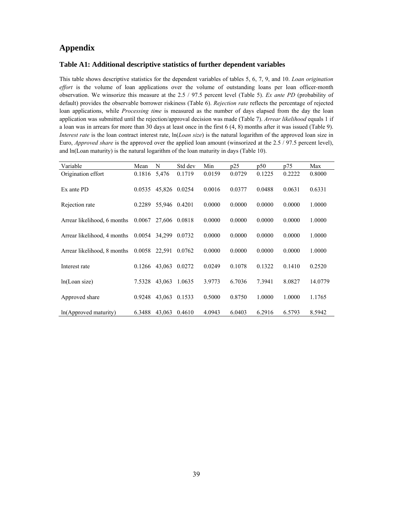# **Appendix**

### **Table A1: Additional descriptive statistics of further dependent variables**

This table shows descriptive statistics for the dependent variables of tables 5, 6, 7, 9, and 10. *Loan origination effort* is the volume of loan applications over the volume of outstanding loans per loan officer*-*month observation. We winsorize this measure at the 2.5 / 97.5 percent level (Table 5). *Ex ante PD* (probability of default) provides the observable borrower riskiness (Table 6). *Rejection rate* reflects the percentage of rejected loan applications, while *Processing time* is measured as the number of days elapsed from the day the loan application was submitted until the rejection/approval decision was made (Table 7). *Arrear likelihood* equals 1 if a loan was in arrears for more than 30 days at least once in the first 6 (4, 8) months after it was issued (Table 9). *Interest rate* is the loan contract interest rate, ln(*Loan size*) is the natural logarithm of the approved loan size in Euro, *Approved share* is the approved over the applied loan amount (winsorized at the 2.5 / 97.5 percent level), and ln(Loan maturity) is the natural logarithm of the loan maturity in days (Table 10).

| Variable                    | Mean   | N      | Std dev | Min    | p25    | p50    | p75    | Max     |
|-----------------------------|--------|--------|---------|--------|--------|--------|--------|---------|
| Origination effort          | 0.1816 | 5,476  | 0.1719  | 0.0159 | 0.0729 | 0.1225 | 0.2222 | 0.8000  |
| Ex ante PD                  | 0.0535 | 45,826 | 0.0254  | 0.0016 | 0.0377 | 0.0488 | 0.0631 | 0.6331  |
| Rejection rate              | 0.2289 | 55,946 | 0.4201  | 0.0000 | 0.0000 | 0.0000 | 0.0000 | 1.0000  |
| Arrear likelihood, 6 months | 0.0067 | 27,606 | 0.0818  | 0.0000 | 0.0000 | 0.0000 | 0.0000 | 1.0000  |
| Arrear likelihood, 4 months | 0.0054 | 34,299 | 0.0732  | 0.0000 | 0.0000 | 0.0000 | 0.0000 | 1.0000  |
| Arrear likelihood, 8 months | 0.0058 | 22,591 | 0.0762  | 0.0000 | 0.0000 | 0.0000 | 0.0000 | 1.0000  |
| Interest rate               | 0.1266 | 43,063 | 0.0272  | 0.0249 | 0.1078 | 0.1322 | 0.1410 | 0.2520  |
| ln(Loan size)               | 7.5328 | 43,063 | 1.0635  | 3.9773 | 6.7036 | 7.3941 | 8.0827 | 14.0779 |
| Approved share              | 0.9248 | 43,063 | 0.1533  | 0.5000 | 0.8750 | 1.0000 | 1.0000 | 1.1765  |
| ln(Approved maturity)       | 6.3488 | 43,063 | 0.4610  | 4.0943 | 6.0403 | 6.2916 | 6.5793 | 8.5942  |